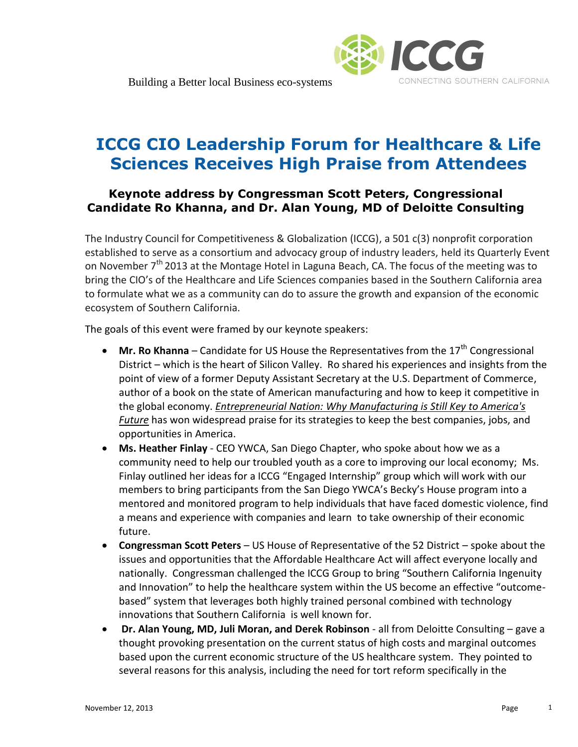

## **ICCG CIO Leadership Forum for Healthcare & Life Sciences Receives High Praise from Attendees**

## **Keynote address by Congressman Scott Peters, Congressional Candidate Ro Khanna, and Dr. Alan Young, MD of Deloitte Consulting**

The Industry Council for Competitiveness & Globalization (ICCG), a 501 c(3) nonprofit corporation established to serve as a consortium and advocacy group of industry leaders, held its Quarterly Event on November  $7<sup>th</sup>$  2013 at the Montage Hotel in Laguna Beach, CA. The focus of the meeting was to bring the CIO's of the Healthcare and Life Sciences companies based in the Southern California area to formulate what we as a community can do to assure the growth and expansion of the economic ecosystem of Southern California.

The goals of this event were framed by our keynote speakers:

- $\bullet$  **Mr. Ro Khanna** Candidate for US House the Representatives from the 17<sup>th</sup> Congressional District – which is the heart of Silicon Valley. Ro shared his experiences and insights from the point of view of a former Deputy Assistant Secretary at the U.S. Department of Commerce, author of a book on the state of American manufacturing and how to keep it competitive in the global economy. *Entrepreneurial Nation: Why Manufacturing is Still Key to America's Future* has won widespread praise for its strategies to keep the best companies, jobs, and opportunities in America.
- **Ms. Heather Finlay** CEO YWCA, San Diego Chapter, who spoke about how we as a community need to help our troubled youth as a core to improving our local economy; Ms. Finlay outlined her ideas for a ICCG "Engaged Internship" group which will work with our members to bring participants from the San Diego YWCA's Becky's House program into a mentored and monitored program to help individuals that have faced domestic violence, find a means and experience with companies and learn to take ownership of their economic future.
- **Congressman Scott Peters**  US House of Representative of the 52 District spoke about the issues and opportunities that the Affordable Healthcare Act will affect everyone locally and nationally. Congressman challenged the ICCG Group to bring "Southern California Ingenuity and Innovation" to help the healthcare system within the US become an effective "outcomebased" system that leverages both highly trained personal combined with technology innovations that Southern California is well known for.
- **Dr. Alan Young, MD, Juli Moran, and Derek Robinson** all from Deloitte Consulting gave a thought provoking presentation on the current status of high costs and marginal outcomes based upon the current economic structure of the US healthcare system. They pointed to several reasons for this analysis, including the need for tort reform specifically in the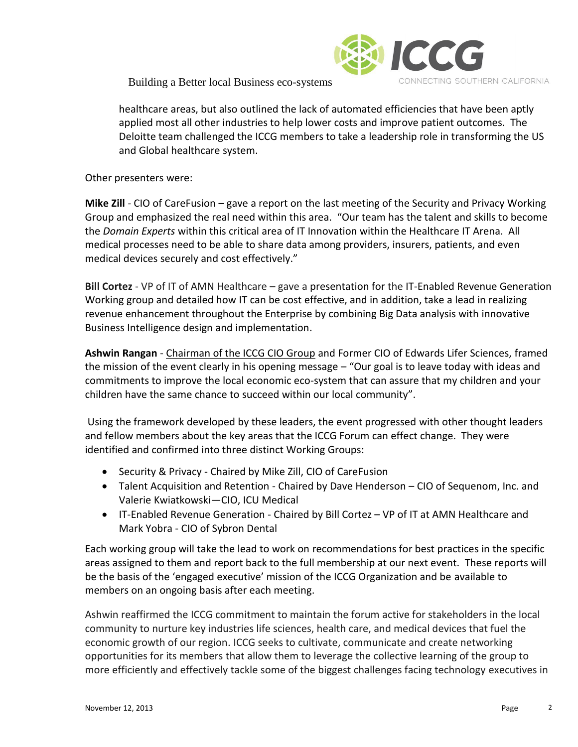

healthcare areas, but also outlined the lack of automated efficiencies that have been aptly applied most all other industries to help lower costs and improve patient outcomes. The Deloitte team challenged the ICCG members to take a leadership role in transforming the US and Global healthcare system.

Other presenters were:

**Mike Zill** *-* CIO of CareFusion – gave a report on the last meeting of the Security and Privacy Working Group and emphasized the real need within this area. "Our team has the talent and skills to become the *Domain Experts* within this critical area of IT Innovation within the Healthcare IT Arena. All medical processes need to be able to share data among providers, insurers, patients, and even medical devices securely and cost effectively."

**Bill Cortez** - VP of IT of AMN Healthcare – gave a presentation for the IT-Enabled Revenue Generation Working group and detailed how IT can be cost effective, and in addition, take a lead in realizing revenue enhancement throughout the Enterprise by combining Big Data analysis with innovative Business Intelligence design and implementation.

**Ashwin Rangan** - Chairman of the ICCG CIO Group and Former CIO of Edwards Lifer Sciences, framed the mission of the event clearly in his opening message – "Our goal is to leave today with ideas and commitments to improve the local economic eco-system that can assure that my children and your children have the same chance to succeed within our local community".

Using the framework developed by these leaders, the event progressed with other thought leaders and fellow members about the key areas that the ICCG Forum can effect change. They were identified and confirmed into three distinct Working Groups:

- Security & Privacy Chaired by Mike Zill, CIO of CareFusion
- Talent Acquisition and Retention Chaired by Dave Henderson CIO of Sequenom, Inc. and Valerie Kwiatkowski—CIO, ICU Medical
- IT-Enabled Revenue Generation Chaired by Bill Cortez VP of IT at AMN Healthcare and Mark Yobra - CIO of Sybron Dental

Each working group will take the lead to work on recommendations for best practices in the specific areas assigned to them and report back to the full membership at our next event. These reports will be the basis of the 'engaged executive' mission of the ICCG Organization and be available to members on an ongoing basis after each meeting.

Ashwin reaffirmed the ICCG commitment to maintain the forum active for stakeholders in the local community to nurture key industries life sciences, health care, and medical devices that fuel the economic growth of our region. ICCG seeks to cultivate, communicate and create networking opportunities for its members that allow them to leverage the collective learning of the group to more efficiently and effectively tackle some of the biggest challenges facing technology executives in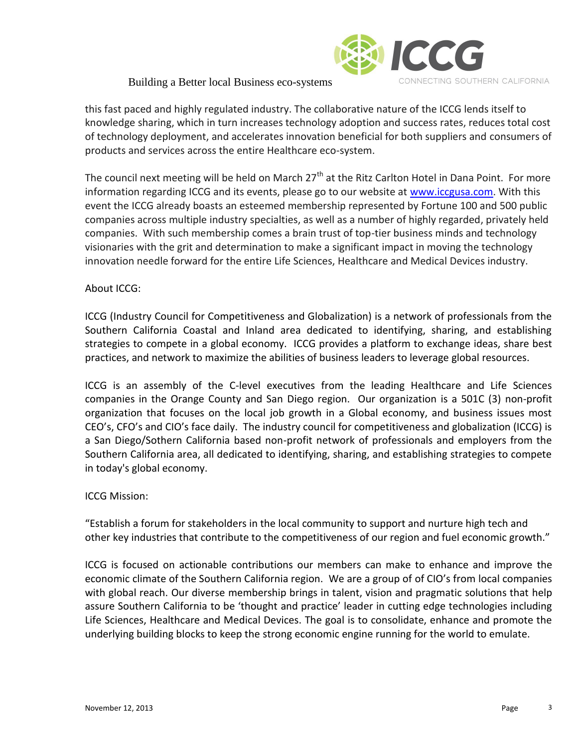

this fast paced and highly regulated industry. The collaborative nature of the ICCG lends itself to knowledge sharing, which in turn increases technology adoption and success rates, reduces total cost of technology deployment, and accelerates innovation beneficial for both suppliers and consumers of products and services across the entire Healthcare eco-system.

The council next meeting will be held on March  $27<sup>th</sup>$  at the Ritz Carlton Hotel in Dana Point. For more information regarding ICCG and its events, please go to our website at [www.iccgusa.com.](http://www.iccgusa.com/) With this event the ICCG already boasts an esteemed membership represented by Fortune 100 and 500 public companies across multiple industry specialties, as well as a number of highly regarded, privately held companies. With such membership comes a brain trust of top-tier business minds and technology visionaries with the grit and determination to make a significant impact in moving the technology innovation needle forward for the entire Life Sciences, Healthcare and Medical Devices industry.

## About ICCG:

ICCG (Industry Council for Competitiveness and Globalization) is a network of professionals from the Southern California Coastal and Inland area dedicated to identifying, sharing, and establishing strategies to compete in a global economy. ICCG provides a platform to exchange ideas, share best practices, and network to maximize the abilities of business leaders to leverage global resources.

ICCG is an assembly of the C-level executives from the leading Healthcare and Life Sciences companies in the Orange County and San Diego region. Our organization is a 501C (3) non-profit organization that focuses on the local job growth in a Global economy, and business issues most CEO's, CFO's and CIO's face daily. The industry council for competitiveness and globalization (ICCG) is a San Diego/Sothern California based non-profit network of professionals and employers from the Southern California area, all dedicated to identifying, sharing, and establishing strategies to compete in today's global economy.

## ICCG Mission:

"Establish a forum for stakeholders in the local community to support and nurture high tech and other key industries that contribute to the competitiveness of our region and fuel economic growth."

ICCG is focused on actionable contributions our members can make to enhance and improve the economic climate of the Southern California region. We are a group of of CIO's from local companies with global reach. Our diverse membership brings in talent, vision and pragmatic solutions that help assure Southern California to be 'thought and practice' leader in cutting edge technologies including Life Sciences, Healthcare and Medical Devices. The goal is to consolidate, enhance and promote the underlying building blocks to keep the strong economic engine running for the world to emulate.